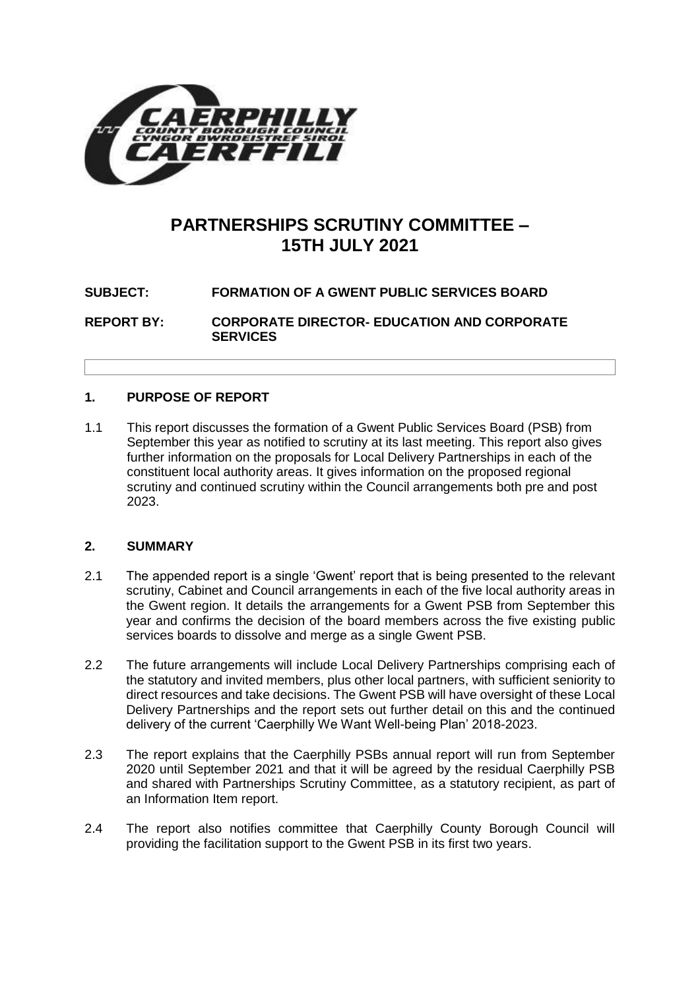

# **PARTNERSHIPS SCRUTINY COMMITTEE – 15TH JULY 2021**

# **SUBJECT: FORMATION OF A GWENT PUBLIC SERVICES BOARD**

**REPORT BY: CORPORATE DIRECTOR- EDUCATION AND CORPORATE SERVICES**

## **1. PURPOSE OF REPORT**

1.1 This report discusses the formation of a Gwent Public Services Board (PSB) from September this year as notified to scrutiny at its last meeting. This report also gives further information on the proposals for Local Delivery Partnerships in each of the constituent local authority areas. It gives information on the proposed regional scrutiny and continued scrutiny within the Council arrangements both pre and post 2023.

#### **2. SUMMARY**

- 2.1 The appended report is a single 'Gwent' report that is being presented to the relevant scrutiny, Cabinet and Council arrangements in each of the five local authority areas in the Gwent region. It details the arrangements for a Gwent PSB from September this year and confirms the decision of the board members across the five existing public services boards to dissolve and merge as a single Gwent PSB.
- 2.2 The future arrangements will include Local Delivery Partnerships comprising each of the statutory and invited members, plus other local partners, with sufficient seniority to direct resources and take decisions. The Gwent PSB will have oversight of these Local Delivery Partnerships and the report sets out further detail on this and the continued delivery of the current 'Caerphilly We Want Well-being Plan' 2018-2023.
- 2.3 The report explains that the Caerphilly PSBs annual report will run from September 2020 until September 2021 and that it will be agreed by the residual Caerphilly PSB and shared with Partnerships Scrutiny Committee, as a statutory recipient, as part of an Information Item report.
- 2.4 The report also notifies committee that Caerphilly County Borough Council will providing the facilitation support to the Gwent PSB in its first two years.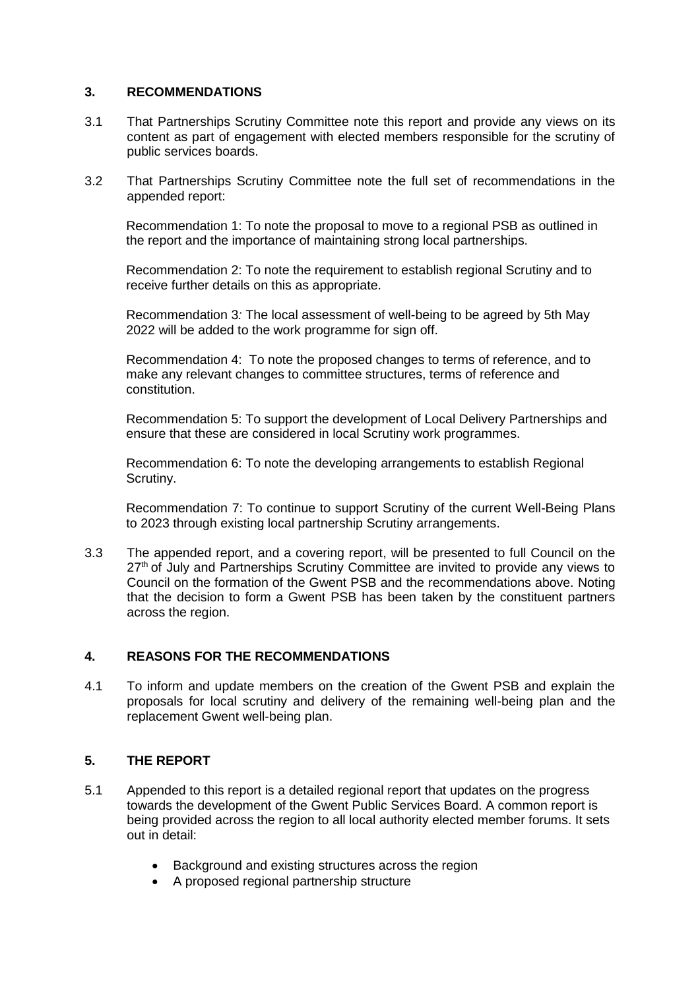#### **3. RECOMMENDATIONS**

- 3.1 That Partnerships Scrutiny Committee note this report and provide any views on its content as part of engagement with elected members responsible for the scrutiny of public services boards.
- 3.2 That Partnerships Scrutiny Committee note the full set of recommendations in the appended report:

Recommendation 1: To note the proposal to move to a regional PSB as outlined in the report and the importance of maintaining strong local partnerships.

Recommendation 2: To note the requirement to establish regional Scrutiny and to receive further details on this as appropriate.

Recommendation 3*:* The local assessment of well-being to be agreed by 5th May 2022 will be added to the work programme for sign off.

Recommendation 4: To note the proposed changes to terms of reference, and to make any relevant changes to committee structures, terms of reference and constitution.

Recommendation 5: To support the development of Local Delivery Partnerships and ensure that these are considered in local Scrutiny work programmes.

Recommendation 6: To note the developing arrangements to establish Regional Scrutiny.

Recommendation 7: To continue to support Scrutiny of the current Well-Being Plans to 2023 through existing local partnership Scrutiny arrangements.

3.3 The appended report, and a covering report, will be presented to full Council on the  $27<sup>th</sup>$  of July and Partnerships Scrutiny Committee are invited to provide any views to Council on the formation of the Gwent PSB and the recommendations above. Noting that the decision to form a Gwent PSB has been taken by the constituent partners across the region.

#### **4. REASONS FOR THE RECOMMENDATIONS**

4.1 To inform and update members on the creation of the Gwent PSB and explain the proposals for local scrutiny and delivery of the remaining well-being plan and the replacement Gwent well-being plan.

#### **5. THE REPORT**

- 5.1 Appended to this report is a detailed regional report that updates on the progress towards the development of the Gwent Public Services Board. A common report is being provided across the region to all local authority elected member forums. It sets out in detail:
	- Background and existing structures across the region
	- A proposed regional partnership structure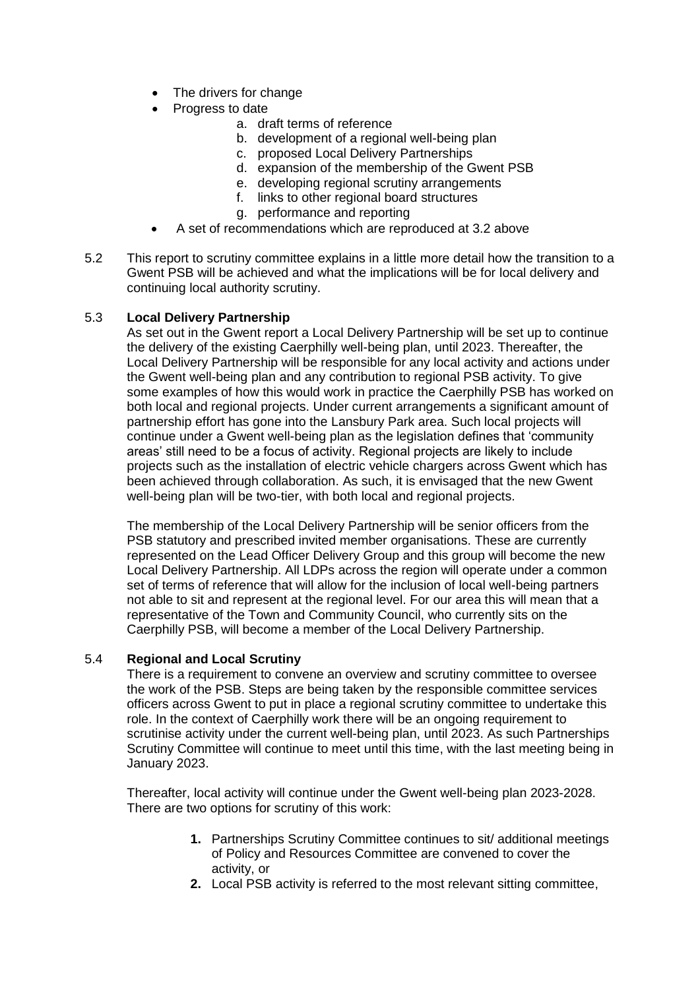- The drivers for change
- Progress to date
	- a. draft terms of reference
	- b. development of a regional well-being plan
	- c. proposed Local Delivery Partnerships
	- d. expansion of the membership of the Gwent PSB
	- e. developing regional scrutiny arrangements
	- f. links to other regional board structures
	- g. performance and reporting
- A set of recommendations which are reproduced at 3.2 above
- 5.2 This report to scrutiny committee explains in a little more detail how the transition to a Gwent PSB will be achieved and what the implications will be for local delivery and continuing local authority scrutiny.

#### 5.3 **Local Delivery Partnership**

As set out in the Gwent report a Local Delivery Partnership will be set up to continue the delivery of the existing Caerphilly well-being plan, until 2023. Thereafter, the Local Delivery Partnership will be responsible for any local activity and actions under the Gwent well-being plan and any contribution to regional PSB activity. To give some examples of how this would work in practice the Caerphilly PSB has worked on both local and regional projects. Under current arrangements a significant amount of partnership effort has gone into the Lansbury Park area. Such local projects will continue under a Gwent well-being plan as the legislation defines that 'community areas' still need to be a focus of activity. Regional projects are likely to include projects such as the installation of electric vehicle chargers across Gwent which has been achieved through collaboration. As such, it is envisaged that the new Gwent well-being plan will be two-tier, with both local and regional projects.

The membership of the Local Delivery Partnership will be senior officers from the PSB statutory and prescribed invited member organisations. These are currently represented on the Lead Officer Delivery Group and this group will become the new Local Delivery Partnership. All LDPs across the region will operate under a common set of terms of reference that will allow for the inclusion of local well-being partners not able to sit and represent at the regional level. For our area this will mean that a representative of the Town and Community Council, who currently sits on the Caerphilly PSB, will become a member of the Local Delivery Partnership.

#### 5.4 **Regional and Local Scrutiny**

There is a requirement to convene an overview and scrutiny committee to oversee the work of the PSB. Steps are being taken by the responsible committee services officers across Gwent to put in place a regional scrutiny committee to undertake this role. In the context of Caerphilly work there will be an ongoing requirement to scrutinise activity under the current well-being plan, until 2023. As such Partnerships Scrutiny Committee will continue to meet until this time, with the last meeting being in January 2023.

Thereafter, local activity will continue under the Gwent well-being plan 2023-2028. There are two options for scrutiny of this work:

- **1.** Partnerships Scrutiny Committee continues to sit/ additional meetings of Policy and Resources Committee are convened to cover the activity, or
- **2.** Local PSB activity is referred to the most relevant sitting committee,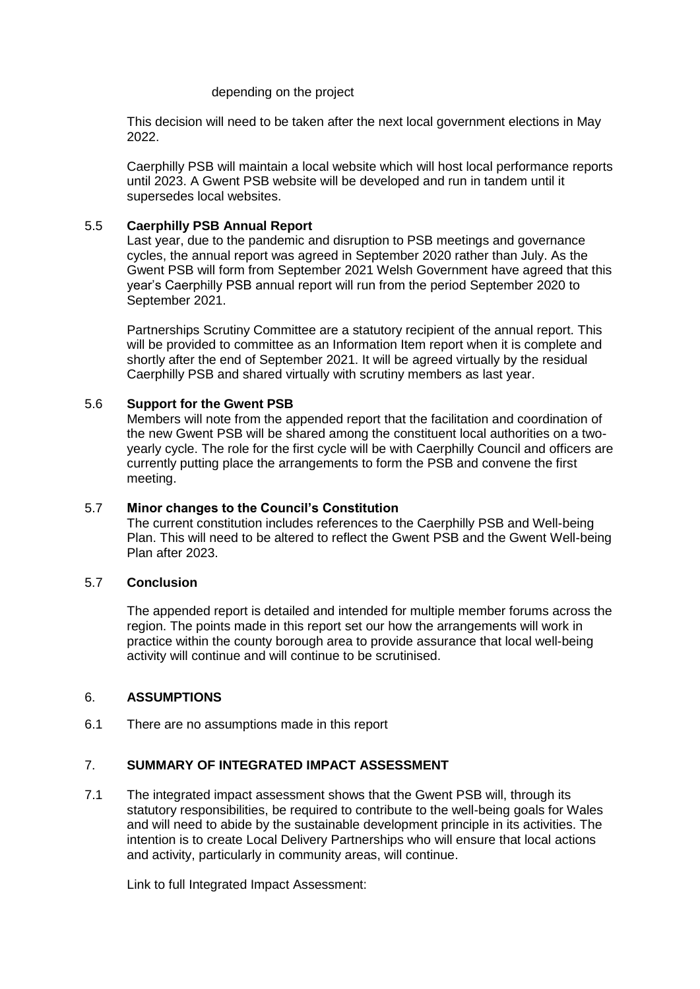#### depending on the project

This decision will need to be taken after the next local government elections in May 2022.

Caerphilly PSB will maintain a local website which will host local performance reports until 2023. A Gwent PSB website will be developed and run in tandem until it supersedes local websites.

#### 5.5 **Caerphilly PSB Annual Report**

Last year, due to the pandemic and disruption to PSB meetings and governance cycles, the annual report was agreed in September 2020 rather than July. As the Gwent PSB will form from September 2021 Welsh Government have agreed that this year's Caerphilly PSB annual report will run from the period September 2020 to September 2021.

Partnerships Scrutiny Committee are a statutory recipient of the annual report. This will be provided to committee as an Information Item report when it is complete and shortly after the end of September 2021. It will be agreed virtually by the residual Caerphilly PSB and shared virtually with scrutiny members as last year.

#### 5.6 **Support for the Gwent PSB**

Members will note from the appended report that the facilitation and coordination of the new Gwent PSB will be shared among the constituent local authorities on a twoyearly cycle. The role for the first cycle will be with Caerphilly Council and officers are currently putting place the arrangements to form the PSB and convene the first meeting.

#### 5.7 **Minor changes to the Council's Constitution**

The current constitution includes references to the Caerphilly PSB and Well-being Plan. This will need to be altered to reflect the Gwent PSB and the Gwent Well-being Plan after 2023.

#### 5.7 **Conclusion**

The appended report is detailed and intended for multiple member forums across the region. The points made in this report set our how the arrangements will work in practice within the county borough area to provide assurance that local well-being activity will continue and will continue to be scrutinised.

#### 6. **ASSUMPTIONS**

6.1 There are no assumptions made in this report

# 7. **SUMMARY OF INTEGRATED IMPACT ASSESSMENT**

7.1 The integrated impact assessment shows that the Gwent PSB will, through its statutory responsibilities, be required to contribute to the well-being goals for Wales and will need to abide by the sustainable development principle in its activities. The intention is to create Local Delivery Partnerships who will ensure that local actions and activity, particularly in community areas, will continue.

Link to full Integrated Impact Assessment: